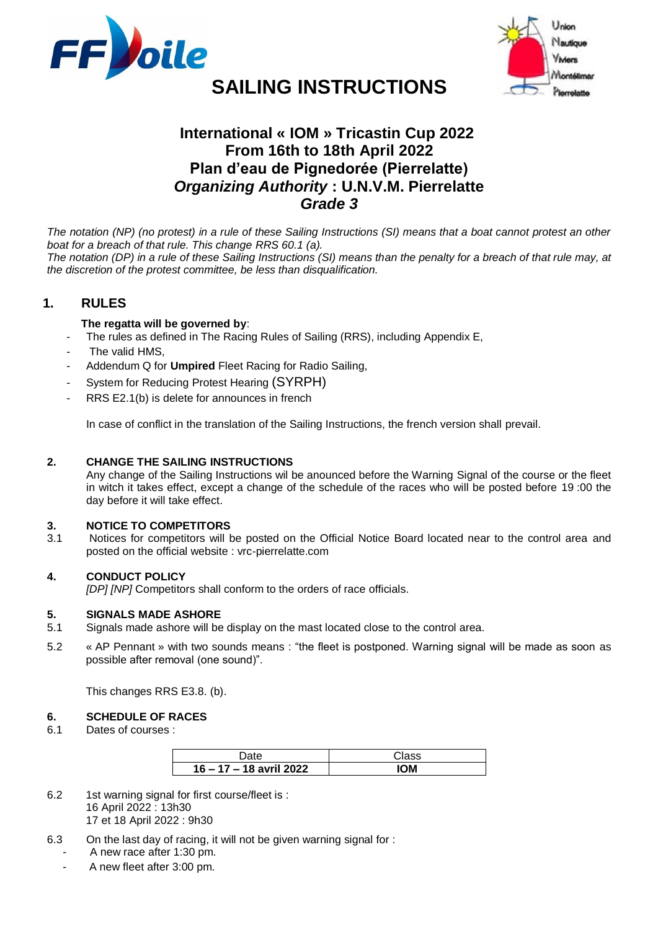



# **SAILING INSTRUCTIONS**

# **International « IOM » Tricastin Cup 2022 From 16th to 18th April 2022 Plan d'eau de Pignedorée (Pierrelatte)** *Organizing Authority* **: U.N.V.M. Pierrelatte** *Grade 3*

*The notation (NP) (no protest) in a rule of these Sailing Instructions (SI) means that a boat cannot protest an other boat for a breach of that rule. This change RRS 60.1 (a).*

*The notation (DP) in a rule of these Sailing Instructions (SI) means than the penalty for a breach of that rule may, at the discretion of the protest committee, be less than disqualification.*

# **1. RULES**

### **The regatta will be governed by**:

- The rules as defined in The Racing Rules of Sailing (RRS), including Appendix E,
- The valid HMS.
- Addendum Q for **Umpired** Fleet Racing for Radio Sailing,
- System for Reducing Protest Hearing (SYRPH)
- RRS E2.1(b) is delete for announces in french

In case of conflict in the translation of the Sailing Instructions, the french version shall prevail.

#### **2. CHANGE THE SAILING INSTRUCTIONS**

Any change of the Sailing Instructions wil be anounced before the Warning Signal of the course or the fleet in witch it takes effect, except a change of the schedule of the races who will be posted before 19 :00 the day before it will take effect.

#### **3. NOTICE TO COMPETITORS**

3.1 Notices for competitors will be posted on the Official Notice Board located near to the control area and posted on the official website : vrc-pierrelatte.com

#### **4. CONDUCT POLICY**

*[DP] [NP]* Competitors shall conform to the orders of race officials.

#### **5. SIGNALS MADE ASHORE**

- 5.1 Signals made ashore will be display on the mast located close to the control area.
- 5.2 « AP Pennant » with two sounds means : "the fleet is postponed. Warning signal will be made as soon as possible after removal (one sound)".

This changes RRS E3.8. (b).

#### **6. SCHEDULE OF RACES**

6.1 Dates of courses :

| 16 – 17 – 18 avril 2022 | IOM |
|-------------------------|-----|

- 6.2 1st warning signal for first course/fleet is : 16 April 2022 : 13h30 17 et 18 April 2022 : 9h30
- 6.3 On the last day of racing, it will not be given warning signal for :
	- A new race after 1:30 pm.
	- A new fleet after 3:00 pm.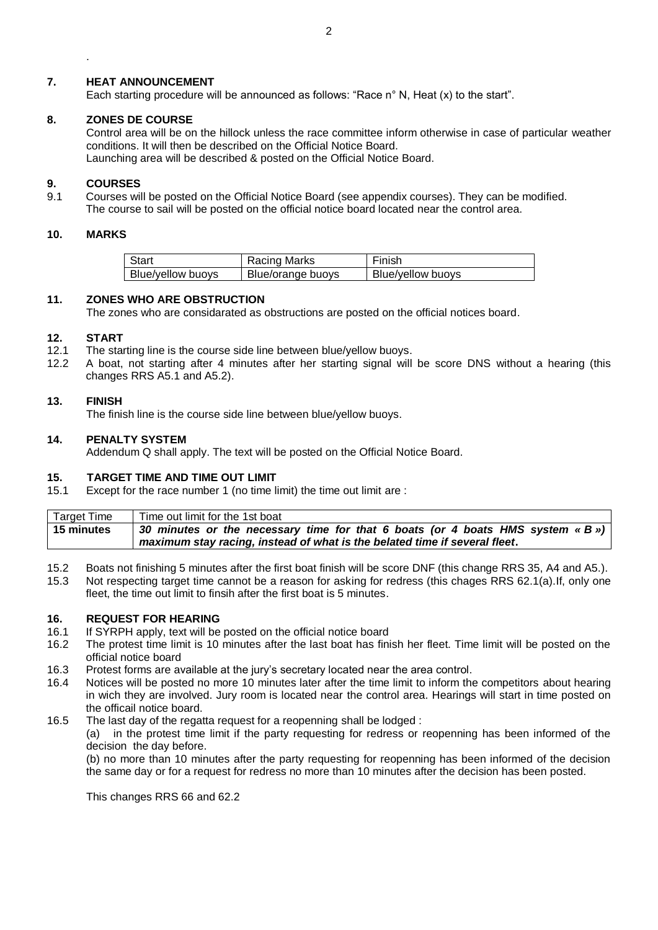#### **7. HEAT ANNOUNCEMENT**

Each starting procedure will be announced as follows: "Race n° N, Heat (x) to the start".

#### **8. ZONES DE COURSE**

Control area will be on the hillock unless the race committee inform otherwise in case of particular weather conditions. It will then be described on the Official Notice Board. Launching area will be described & posted on the Official Notice Board.

#### **9. COURSES**

.

9.1 Courses will be posted on the Official Notice Board (see appendix courses). They can be modified. The course to sail will be posted on the official notice board located near the control area.

#### **10. MARKS**

| Start             | Racing Marks      | Finish            |
|-------------------|-------------------|-------------------|
| Blue/yellow buoys | Blue/orange buoys | Blue/yellow buoys |

#### **11. ZONES WHO ARE OBSTRUCTION**

The zones who are considarated as obstructions are posted on the official notices board.

#### **12. START**

- 12.1 The starting line is the course side line between blue/yellow buoys.
- 12.2 A boat, not starting after 4 minutes after her starting signal will be score DNS without a hearing (this changes RRS A5.1 and A5.2).

#### **13. FINISH**

The finish line is the course side line between blue/yellow buoys.

#### **14. PENALTY SYSTEM**

Addendum Q shall apply. The text will be posted on the Official Notice Board.

#### **15. TARGET TIME AND TIME OUT LIMIT**

15.1 Except for the race number 1 (no time limit) the time out limit are :

| <b>Target Time</b>                                                         | Time out limit for the 1st boat                                                 |  |
|----------------------------------------------------------------------------|---------------------------------------------------------------------------------|--|
| 15 minutes                                                                 | 30 minutes or the necessary time for that 6 boats (or 4 boats HMS system « B ») |  |
| maximum stay racing, instead of what is the belated time if several fleet. |                                                                                 |  |

- 15.2 Boats not finishing 5 minutes after the first boat finish will be score DNF (this change RRS 35, A4 and A5.). 15.3 Not respecting target time cannot be a reason for asking for redress (this chages RRS 62.1(a).If, only one
- fleet, the time out limit to finsih after the first boat is 5 minutes.

#### **16. REQUEST FOR HEARING**

- 16.1 If SYRPH apply, text will be posted on the official notice board
- 16.2 The protest time limit is 10 minutes after the last boat has finish her fleet. Time limit will be posted on the official notice board
- 16.3 Protest forms are available at the jury's secretary located near the area control.
- 16.4 Notices will be posted no more 10 minutes later after the time limit to inform the competitors about hearing in wich they are involved. Jury room is located near the control area. Hearings will start in time posted on the officail notice board.
- 16.5 The last day of the regatta request for a reopenning shall be lodged :

(a) in the protest time limit if the party requesting for redress or reopenning has been informed of the decision the day before.

(b) no more than 10 minutes after the party requesting for reopenning has been informed of the decision the same day or for a request for redress no more than 10 minutes after the decision has been posted.

This changes RRS 66 and 62.2